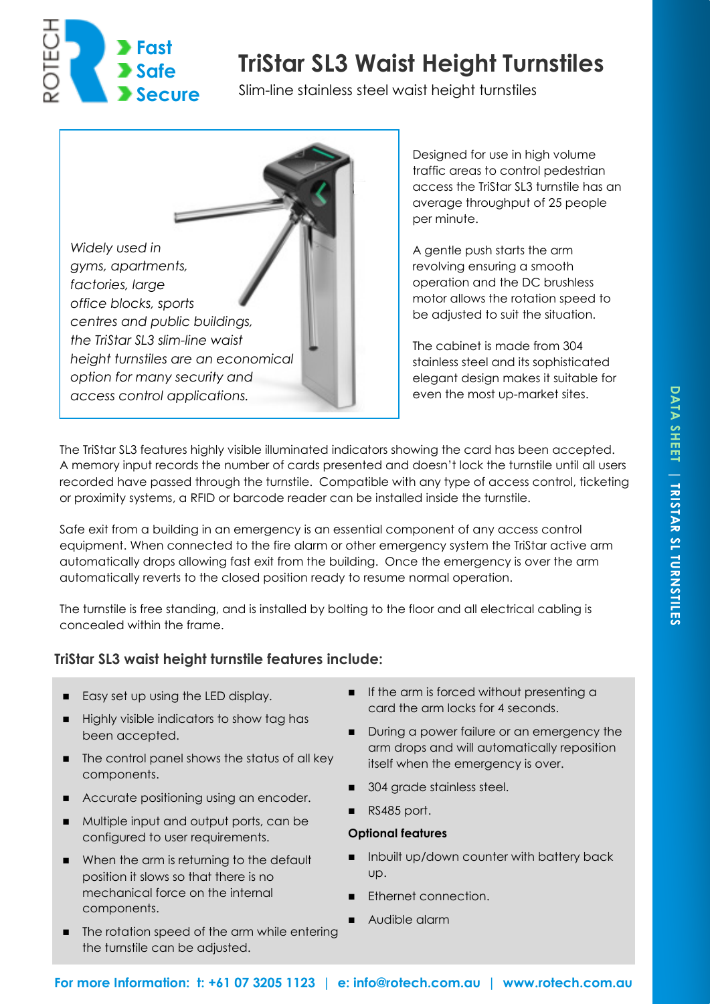

# **TriStar SL3 Waist Height Turnstiles**

Slim-line stainless steel waist height turnstiles



Designed for use in high volume traffic areas to control pedestrian access the TriStar SL3 turnstile has an average throughput of 25 people per minute.

A gentle push starts the arm revolving ensuring a smooth operation and the DC brushless motor allows the rotation speed to be adjusted to suit the situation.

The cabinet is made from 304 stainless steel and its sophisticated elegant design makes it suitable for even the most up-market sites.

The TriStar SL3 features highly visible illuminated indicators showing the card has been accepted. A memory input records the number of cards presented and doesn't lock the turnstile until all users recorded have passed through the turnstile. Compatible with any type of access control, ticketing or proximity systems, a RFID or barcode reader can be installed inside the turnstile.

Safe exit from a building in an emergency is an essential component of any access control equipment. When connected to the fire alarm or other emergency system the TriStar active arm automatically drops allowing fast exit from the building. Once the emergency is over the arm automatically reverts to the closed position ready to resume normal operation.

The turnstile is free standing, and is installed by bolting to the floor and all electrical cabling is concealed within the frame.

## **TriStar SL3 waist height turnstile features include:**

- Easy set up using the LED display.
- Highly visible indicators to show tag has been accepted.
- The control panel shows the status of all key components.
- Accurate positioning using an encoder.
- Multiple input and output ports, can be configured to user requirements.
- When the arm is returning to the default position it slows so that there is no mechanical force on the internal components.
- The rotation speed of the arm while entering the turnstile can be adjusted.
- If the arm is forced without presenting a card the arm locks for 4 seconds.
- During a power failure or an emergency the arm drops and will automatically reposition itself when the emergency is over.
- ◼ 304 grade stainless steel.
- RS485 port.

### **Optional features**

- Inbuilt up/down counter with battery back up.
- Ethernet connection.
- Audible alarm